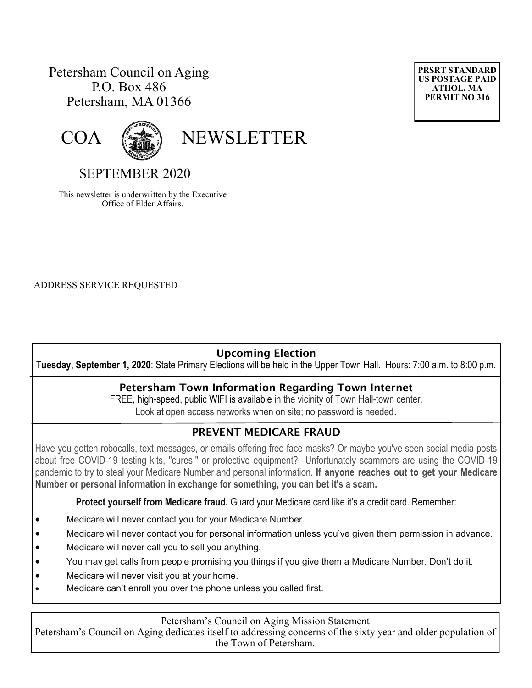## Petersham Council on Aging P.O. Box 486 Petersham, MA 01366





COA (

# SEPTEMBER 2020

This newsletter is underwritten by the Executive Office of Elder Affairs.

ADDRESS SERVICE REQUESTED

## **Upcoming Election**

**Tuesday, September 1, 2020**: State Primary Elections will be held in the Upper Town Hall. Hours: 7:00 a.m. to 8:00 p.m.

#### **Petersham Town Information Regarding Town Internet**

FREE, high-speed, public WIFI is available in the vicinity of Town Hall-town center. Look at open access networks when on site; no password is needed.

## **PREVENT MEDICARE FRAUD**

Have you gotten robocalls, text messages, or emails offering free face masks? Or maybe you've seen social media posts about free COVID-19 testing kits, "cures," or protective equipment? Unfortunately scammers are using the COVID-19 pandemic to try to steal your Medicare Number and personal information. **If anyone reaches out to get your Medicare Number or personal information in exchange for something, you can bet it's a scam.**

**Protect yourself from Medicare fraud.** Guard your Medicare card like it's a credit card. Remember:

- Medicare will never contact you for your Medicare Number.
- Medicare will never contact you for personal information unless you've given them permission in advance.
- Medicare will never call you to sell you anything.
- You may get calls from people promising you things if you give them a Medicare Number. Don't do it.
- Medicare will never visit you at your home.
- Medicare can't enroll you over the phone unless you called first.

#### Petersham's Council on Aging Mission Statement

Petersham's Council on Aging dedicates itself to addressing concerns of the sixty year and older population of the Town of Petersham.

**PRSRT STANDARD US POSTAGE PAID ATHOL, MA PERMIT NO 316**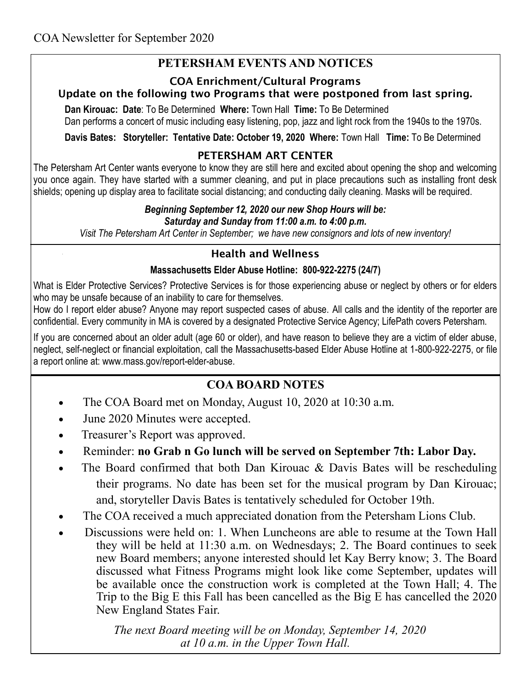# **PETERSHAM EVENTS AND NOTICES**

#### **COA Enrichment/Cultural Programs Update on the following two Programs that were postponed from last spring.**

**Dan Kirouac: Date**: To Be Determined **Where:** Town Hall **Time:** To Be Determined Dan performs a concert of music including easy listening, pop, jazz and light rock from the 1940s to the 1970s.

**Davis Bates: Storyteller: Tentative Date: October 19, 2020 Where:** Town Hall **Time:** To Be Determined

### **PETERSHAM ART CENTER**

The Petersham Art Center wants everyone to know they are still here and excited about opening the shop and welcoming you once again. They have started with a summer cleaning, and put in place precautions such as installing front desk shields; opening up display area to facilitate social distancing; and conducting daily cleaning. Masks will be required.

#### *Beginning September 12, 2020 our new Shop Hours will be: Saturday and Sunday from 11:00 a.m. to 4:00 p.m.*

*Visit The Petersham Art Center in September; we have new consignors and lots of new inventory!*

## **Health and Wellness**

### **Massachusetts [Elder Abuse Hotline:](http://mass.gov/reporting-elder-abuse-neglect) 800-922-2275 (24/7)**

What is Elder Protective Services? Protective Services is for those experiencing abuse or neglect by others or for elders who may be unsafe because of an inability to care for themselves.

How do I report elder abuse? Anyone may report suspected cases of abuse. All calls and the identity of the reporter are confidential. Every community in MA is covered by a designated Protective Service Agency; LifePath covers Petersham.

If you are concerned about an older adult (age 60 or older), and have reason to believe they are a victim of elder abuse, neglect, self-neglect or financial exploitation, call the Massachusetts-based Elder Abuse Hotline at 1-800-922-2275, or file a report online at: [www.mass.gov/report-elder-abuse.](https://www.mass.gov/report-elder-abuse)

# **COA BOARD NOTES**

- The COA Board met on Monday, August 10, 2020 at 10:30 a.m.
- June 2020 Minutes were accepted.
- Treasurer's Report was approved.
- Reminder: **no Grab n Go lunch will be served on September 7th: Labor Day.**
- The Board confirmed that both Dan Kirouac & Davis Bates will be rescheduling their programs. No date has been set for the musical program by Dan Kirouac; and, storyteller Davis Bates is tentatively scheduled for October 19th.
- The COA received a much appreciated donation from the Petersham Lions Club.
- Discussions were held on: 1. When Luncheons are able to resume at the Town Hall they will be held at 11:30 a.m. on Wednesdays; 2. The Board continues to seek new Board members; anyone interested should let Kay Berry know; 3. The Board discussed what Fitness Programs might look like come September, updates will be available once the construction work is completed at the Town Hall; 4. The Trip to the Big E this Fall has been cancelled as the Big E has cancelled the 2020 New England States Fair.

 *The next Board meeting will be on Monday, September 14, 2020 at 10 a.m. in the Upper Town Hall.*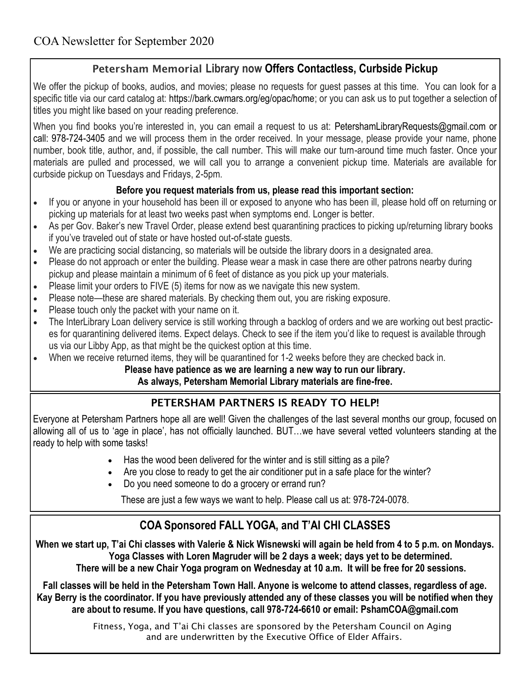## **Petersham Memorial Library now Offers Contactless, Curbside Pickup**

We offer the pickup of books, audios, and movies; please no requests for quest passes at this time. You can look for a specific title via our card catalog at: [h](https://petershamlibrary.us4.list-manage.com/track/click?u=ffa400be1dde6d58bdad8e7c8&id=b87011fd1e&e=eeca0232cd)[ttps://bark.cwmars.org/eg/opac/home;](https://petershamlibrary.us4.list-manage.com/track/click?u=ffa400be1dde6d58bdad8e7c8&id=12aab38931&e=eeca0232cd) [o](https://petershamlibrary.us4.list-manage.com/track/click?u=ffa400be1dde6d58bdad8e7c8&id=4e9f43cf47&e=eeca0232cd)r you can ask us to put together a selection of titles you might like based on your reading preference.

When you find books you're interested in, you can email a request to us at: [PetershamLibraryRequests@gmail.com](mailto:PetershamLibraryRequests@gmail.com) or call: [978-724-3405](callto:978.724.3405) and we will process them in the order received. In your message, please provide your name, phone number, book title, author, and, if possible, the call number. This will make our turn-around time much faster. Once your materials are pulled and processed, we will call you to arrange a convenient pickup time. Materials are available for curbside pickup on Tuesdays and Fridays, 2-5pm.

### **Before you request materials from us, please read this important section:**

- If you or anyone in your household has been ill or exposed to anyone who has been ill, please hold off on returning or picking up materials for at least two weeks past when symptoms end. Longer is better.
- As per Gov. Baker's new Travel Order, please extend best quarantining practices to picking up/returning library books if you've traveled out of state or have hosted out-of-state guests.
- We are practicing social distancing, so materials will be outside the library doors in a designated area.
- Please do not approach or enter the building. Please wear a mask in case there are other patrons nearby during pickup and please maintain a minimum of 6 feet of distance as you pick up your materials.
- Please limit your orders to FIVE (5) items for now as we navigate this new system.
- Please note—these are shared materials. By checking them out, you are risking exposure.
- Please touch only the packet with your name on it.
- The InterLibrary Loan delivery service is still working through a backlog of orders and we are working out best practices for quarantining delivered items. Expect delays. Check to see if the item you'd like to request is available through us via our Libby App, as that might be the quickest option at this time.
- When we receive returned items, they will be quarantined for 1-2 weeks before they are checked back in.

### **Please have patience as we are learning a new way to run our library.**

### **As always, Petersham Memorial Library materials are fine-free.**

## **PETERSHAM PARTNERS IS READY TO HELP!**

Everyone at Petersham Partners hope all are well! Given the challenges of the last several months our group, focused on allowing all of us to 'age in place', has not officially launched. BUT…we have several vetted volunteers standing at the ready to help with some tasks!

- Has the wood been delivered for the winter and is still sitting as a pile?
- Are you close to ready to get the air conditioner put in a safe place for the winter?
- Do you need someone to do a grocery or errand run?

These are just a few ways we want to help. Please call us at: 978-724-0078.

# **COA Sponsored FALL YOGA, and T'AI CHI CLASSES**

**When we start up, T'ai Chi classes with Valerie & Nick Wisnewski will again be held from 4 to 5 p.m. on Mondays. Yoga Classes with Loren Magruder will be 2 days a week; days yet to be determined. There will be a new Chair Yoga program on Wednesday at 10 a.m. It will be free for 20 sessions.**

**Fall classes will be held in the Petersham Town Hall. Anyone is welcome to attend classes, regardless of age. Kay Berry is the coordinator. If you have previously attended any of these classes you will be notified when they are about to resume. If you have questions, call 978-724-6610 or email: PshamCOA@gmail.com**

> Fitness, Yoga, and T'ai Chi classes are sponsored by the Petersham Council on Aging and are underwritten by the Executive Office of Elder Affairs.